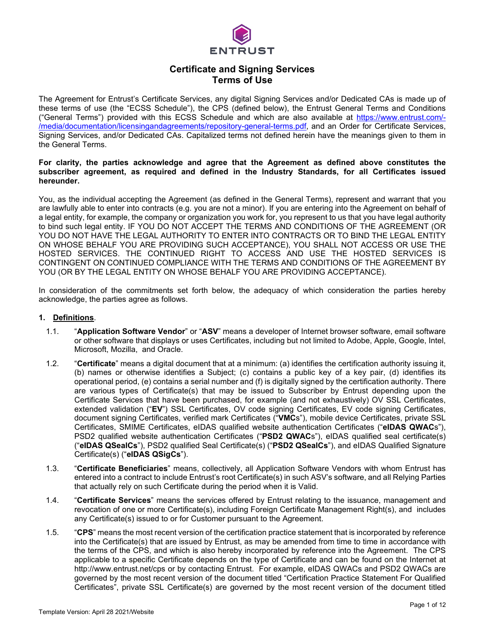

# **Certificate and Signing Services Terms of Use**

The Agreement for Entrust's Certificate Services, any digital Signing Services and/or Dedicated CAs is made up of these terms of use (the "ECSS Schedule"), the CPS (defined below), the Entrust General Terms and Conditions ("General Terms") provided with this ECSS Schedule and which are also available at [https://www.entrust.com/-](https://www.entrust.com/-/media/documentation/licensingandagreements/repository-general-terms.pdf) [/media/documentation/licensingandagreements/repository-general-terms.pdf,](https://www.entrust.com/-/media/documentation/licensingandagreements/repository-general-terms.pdf) and an Order for Certificate Services, Signing Services, and/or Dedicated CAs. Capitalized terms not defined herein have the meanings given to them in the General Terms.

#### **For clarity, the parties acknowledge and agree that the Agreement as defined above constitutes the subscriber agreement, as required and defined in the Industry Standards, for all Certificates issued hereunder.**

You, as the individual accepting the Agreement (as defined in the General Terms), represent and warrant that you are lawfully able to enter into contracts (e.g. you are not a minor). If you are entering into the Agreement on behalf of a legal entity, for example, the company or organization you work for, you represent to us that you have legal authority to bind such legal entity. IF YOU DO NOT ACCEPT THE TERMS AND CONDITIONS OF THE AGREEMENT (OR YOU DO NOT HAVE THE LEGAL AUTHORITY TO ENTER INTO CONTRACTS OR TO BIND THE LEGAL ENTITY ON WHOSE BEHALF YOU ARE PROVIDING SUCH ACCEPTANCE), YOU SHALL NOT ACCESS OR USE THE HOSTED SERVICES. THE CONTINUED RIGHT TO ACCESS AND USE THE HOSTED SERVICES IS CONTINGENT ON CONTINUED COMPLIANCE WITH THE TERMS AND CONDITIONS OF THE AGREEMENT BY YOU (OR BY THE LEGAL ENTITY ON WHOSE BEHALF YOU ARE PROVIDING ACCEPTANCE).

In consideration of the commitments set forth below, the adequacy of which consideration the parties hereby acknowledge, the parties agree as follows.

#### **1. Definitions**.

- 1.1. "**Application Software Vendor**" or "**ASV**" means a developer of Internet browser software, email software or other software that displays or uses Certificates, including but not limited to Adobe, Apple, Google, Intel, Microsoft, Mozilla, and Oracle.
- 1.2. "**Certificate**" means a digital document that at a minimum: (a) identifies the certification authority issuing it, (b) names or otherwise identifies a Subject; (c) contains a public key of a key pair, (d) identifies its operational period, (e) contains a serial number and (f) is digitally signed by the certification authority. There are various types of Certificate(s) that may be issued to Subscriber by Entrust depending upon the Certificate Services that have been purchased, for example (and not exhaustively) OV SSL Certificates, extended validation ("**EV**") SSL Certificates, OV code signing Certificates, EV code signing Certificates, document signing Certificates, verified mark Certificates ("**VMC**s"), mobile device Certificates, private SSL Certificates, SMIME Certificates, eIDAS qualified website authentication Certificates ("**eIDAS QWAC**s"), PSD2 qualified website authentication Certificates ("**PSD2 QWAC**s"), eIDAS qualified seal certificate(s) ("**eIDAS QSealCs**"), PSD2 qualified Seal Certificate(s) ("**PSD2 QSealCs**"), and eIDAS Qualified Signature Certificate(s) ("**eIDAS QSigCs**").
- 1.3. "**Certificate Beneficiaries**" means, collectively, all Application Software Vendors with whom Entrust has entered into a contract to include Entrust's root Certificate(s) in such ASV's software, and all Relying Parties that actually rely on such Certificate during the period when it is Valid.
- 1.4. "**Certificate Services**" means the services offered by Entrust relating to the issuance, management and revocation of one or more Certificate(s), including Foreign Certificate Management Right(s), and includes any Certificate(s) issued to or for Customer pursuant to the Agreement.
- 1.5. "**CPS**" means the most recent version of the certification practice statement that is incorporated by reference into the Certificate(s) that are issued by Entrust, as may be amended from time to time in accordance with the terms of the CPS, and which is also hereby incorporated by reference into the Agreement. The CPS applicable to a specific Certificate depends on the type of Certificate and can be found on the Internet at http://www.entrust.net/cps or by contacting Entrust. For example, eIDAS QWACs and PSD2 QWACs are governed by the most recent version of the document titled "Certification Practice Statement For Qualified Certificates", private SSL Certificate(s) are governed by the most recent version of the document titled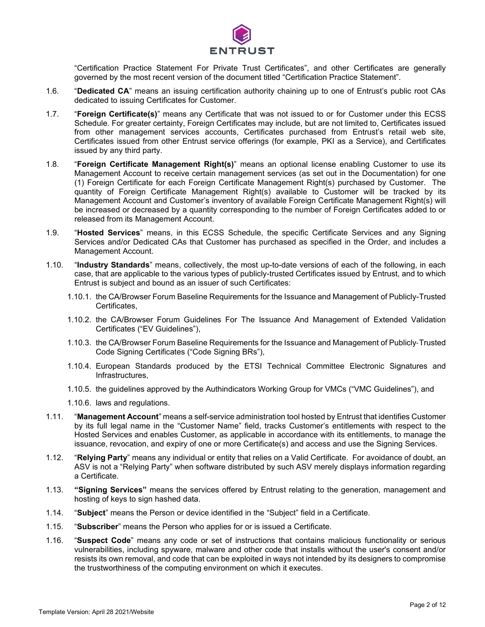

"Certification Practice Statement For Private Trust Certificates", and other Certificates are generally governed by the most recent version of the document titled "Certification Practice Statement".

- 1.6. "**Dedicated CA**" means an issuing certification authority chaining up to one of Entrust's public root CAs dedicated to issuing Certificates for Customer.
- 1.7. "**Foreign Certificate(s)**" means any Certificate that was not issued to or for Customer under this ECSS Schedule. For greater certainty, Foreign Certificates may include, but are not limited to, Certificates issued from other management services accounts, Certificates purchased from Entrust's retail web site, Certificates issued from other Entrust service offerings (for example, PKI as a Service), and Certificates issued by any third party.
- 1.8. "**Foreign Certificate Management Right(s)**" means an optional license enabling Customer to use its Management Account to receive certain management services (as set out in the Documentation) for one (1) Foreign Certificate for each Foreign Certificate Management Right(s) purchased by Customer. The quantity of Foreign Certificate Management Right(s) available to Customer will be tracked by its Management Account and Customer's inventory of available Foreign Certificate Management Right(s) will be increased or decreased by a quantity corresponding to the number of Foreign Certificates added to or released from its Management Account.
- 1.9. "**Hosted Services**" means, in this ECSS Schedule, the specific Certificate Services and any Signing Services and/or Dedicated CAs that Customer has purchased as specified in the Order, and includes a Management Account.
- 1.10. "**Industry Standards**" means, collectively, the most up-to-date versions of each of the following, in each case, that are applicable to the various types of publicly-trusted Certificates issued by Entrust, and to which Entrust is subject and bound as an issuer of such Certificates:
	- 1.10.1. the CA/Browser Forum Baseline Requirements for the Issuance and Management of Publicly-Trusted Certificates,
	- 1.10.2. the CA/Browser Forum Guidelines For The Issuance And Management of Extended Validation Certificates ("EV Guidelines"),
	- 1.10.3. the CA/Browser Forum Baseline Requirements for the Issuance and Management of Publicly‐Trusted Code Signing Certificates ("Code Signing BRs"),
	- 1.10.4. European Standards produced by the ETSI Technical Committee Electronic Signatures and Infrastructures,
	- 1.10.5. the guidelines approved by the Authindicators Working Group for VMCs ("VMC Guidelines"), and
	- 1.10.6. laws and regulations.
- 1.11. "**Management Account**" means a self-service administration tool hosted by Entrust that identifies Customer by its full legal name in the "Customer Name" field, tracks Customer's entitlements with respect to the Hosted Services and enables Customer, as applicable in accordance with its entitlements, to manage the issuance, revocation, and expiry of one or more Certificate(s) and access and use the Signing Services.
- 1.12. "**Relying Party**" means any individual or entity that relies on a Valid Certificate. For avoidance of doubt, an ASV is not a "Relying Party" when software distributed by such ASV merely displays information regarding a Certificate.
- 1.13. **"Signing Services"** means the services offered by Entrust relating to the generation, management and hosting of keys to sign hashed data.
- 1.14. "**Subject**" means the Person or device identified in the "Subject" field in a Certificate.
- 1.15. "**Subscriber**" means the Person who applies for or is issued a Certificate.
- 1.16. "**Suspect Code**" means any code or set of instructions that contains malicious functionality or serious vulnerabilities, including spyware, malware and other code that installs without the user's consent and/or resists its own removal, and code that can be exploited in ways not intended by its designers to compromise the trustworthiness of the computing environment on which it executes.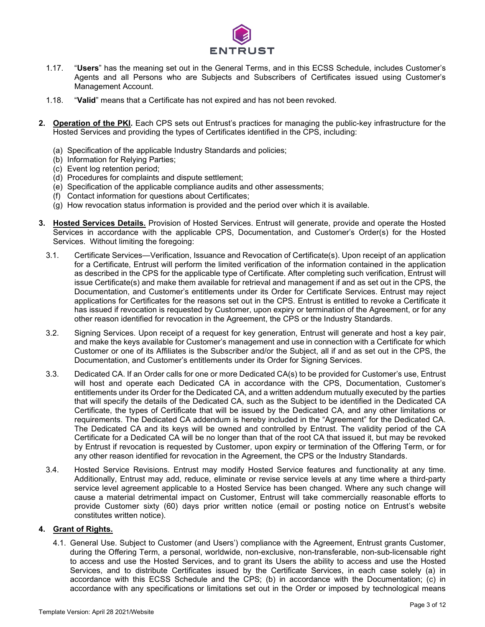

- 1.17. "**Users**" has the meaning set out in the General Terms, and in this ECSS Schedule, includes Customer's Agents and all Persons who are Subjects and Subscribers of Certificates issued using Customer's Management Account.
- 1.18. "**Valid**" means that a Certificate has not expired and has not been revoked.
- **2. Operation of the PKI.** Each CPS sets out Entrust's practices for managing the public-key infrastructure for the Hosted Services and providing the types of Certificates identified in the CPS, including:
	- (a) Specification of the applicable Industry Standards and policies;
	- (b) Information for Relying Parties;
	- (c) Event log retention period;
	- (d) Procedures for complaints and dispute settlement;
	- (e) Specification of the applicable compliance audits and other assessments;
	- (f) Contact information for questions about Certificates;
	- (g) How revocation status information is provided and the period over which it is available.
- **3. Hosted Services Details.** Provision of Hosted Services. Entrust will generate, provide and operate the Hosted Services in accordance with the applicable CPS, Documentation, and Customer's Order(s) for the Hosted Services. Without limiting the foregoing:
	- 3.1. Certificate Services—Verification, Issuance and Revocation of Certificate(s). Upon receipt of an application for a Certificate, Entrust will perform the limited verification of the information contained in the application as described in the CPS for the applicable type of Certificate. After completing such verification, Entrust will issue Certificate(s) and make them available for retrieval and management if and as set out in the CPS, the Documentation, and Customer's entitlements under its Order for Certificate Services. Entrust may reject applications for Certificates for the reasons set out in the CPS. Entrust is entitled to revoke a Certificate it has issued if revocation is requested by Customer, upon expiry or termination of the Agreement, or for any other reason identified for revocation in the Agreement, the CPS or the Industry Standards.
	- 3.2. Signing Services. Upon receipt of a request for key generation, Entrust will generate and host a key pair, and make the keys available for Customer's management and use in connection with a Certificate for which Customer or one of its Affiliates is the Subscriber and/or the Subject, all if and as set out in the CPS, the Documentation, and Customer's entitlements under its Order for Signing Services.
	- 3.3. Dedicated CA. If an Order calls for one or more Dedicated CA(s) to be provided for Customer's use, Entrust will host and operate each Dedicated CA in accordance with the CPS, Documentation, Customer's entitlements under its Order for the Dedicated CA, and a written addendum mutually executed by the parties that will specify the details of the Dedicated CA, such as the Subject to be identified in the Dedicated CA Certificate, the types of Certificate that will be issued by the Dedicated CA, and any other limitations or requirements. The Dedicated CA addendum is hereby included in the "Agreement" for the Dedicated CA. The Dedicated CA and its keys will be owned and controlled by Entrust. The validity period of the CA Certificate for a Dedicated CA will be no longer than that of the root CA that issued it, but may be revoked by Entrust if revocation is requested by Customer, upon expiry or termination of the Offering Term, or for any other reason identified for revocation in the Agreement, the CPS or the Industry Standards.
	- 3.4. Hosted Service Revisions. Entrust may modify Hosted Service features and functionality at any time. Additionally, Entrust may add, reduce, eliminate or revise service levels at any time where a third-party service level agreement applicable to a Hosted Service has been changed. Where any such change will cause a material detrimental impact on Customer, Entrust will take commercially reasonable efforts to provide Customer sixty (60) days prior written notice (email or posting notice on Entrust's website constitutes written notice).

#### **4. Grant of Rights.**

4.1. General Use. Subject to Customer (and Users') compliance with the Agreement, Entrust grants Customer, during the Offering Term, a personal, worldwide, non-exclusive, non-transferable, non-sub-licensable right to access and use the Hosted Services, and to grant its Users the ability to access and use the Hosted Services, and to distribute Certificates issued by the Certificate Services, in each case solely (a) in accordance with this ECSS Schedule and the CPS; (b) in accordance with the Documentation; (c) in accordance with any specifications or limitations set out in the Order or imposed by technological means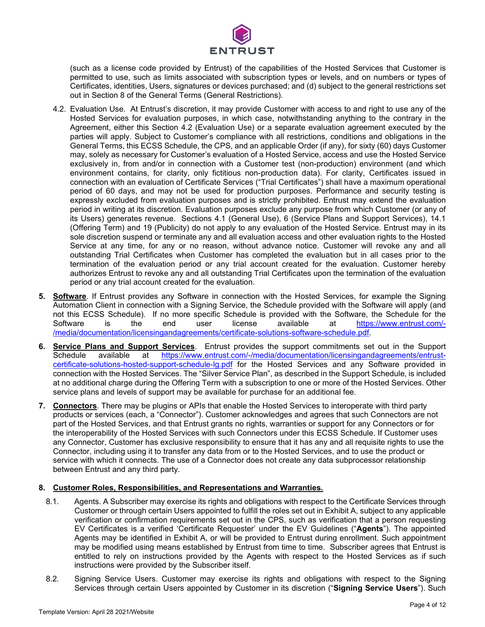

(such as a license code provided by Entrust) of the capabilities of the Hosted Services that Customer is permitted to use, such as limits associated with subscription types or levels, and on numbers or types of Certificates, identities, Users, signatures or devices purchased; and (d) subject to the general restrictions set out in Section 8 of the General Terms (General Restrictions).

- 4.2. Evaluation Use. At Entrust's discretion, it may provide Customer with access to and right to use any of the Hosted Services for evaluation purposes, in which case, notwithstanding anything to the contrary in the Agreement, either this Section 4.2 (Evaluation Use) or a separate evaluation agreement executed by the parties will apply. Subject to Customer's compliance with all restrictions, conditions and obligations in the General Terms, this ECSS Schedule, the CPS, and an applicable Order (if any), for sixty (60) days Customer may, solely as necessary for Customer's evaluation of a Hosted Service, access and use the Hosted Service exclusively in, from and/or in connection with a Customer test (non-production) environment (and which environment contains, for clarity, only fictitious non-production data). For clarity, Certificates issued in connection with an evaluation of Certificate Services ("Trial Certificates") shall have a maximum operational period of 60 days, and may not be used for production purposes. Performance and security testing is expressly excluded from evaluation purposes and is strictly prohibited. Entrust may extend the evaluation period in writing at its discretion. Evaluation purposes exclude any purpose from which Customer (or any of its Users) generates revenue. Sections 4.1 (General Use), 6 (Service Plans and Support Services), 14.1 (Offering Term) and 19 (Publicity) do not apply to any evaluation of the Hosted Service. Entrust may in its sole discretion suspend or terminate any and all evaluation access and other evaluation rights to the Hosted Service at any time, for any or no reason, without advance notice. Customer will revoke any and all outstanding Trial Certificates when Customer has completed the evaluation but in all cases prior to the termination of the evaluation period or any trial account created for the evaluation. Customer hereby authorizes Entrust to revoke any and all outstanding Trial Certificates upon the termination of the evaluation period or any trial account created for the evaluation.
- **5. Software**. If Entrust provides any Software in connection with the Hosted Services, for example the Signing Automation Client in connection with a Signing Service, the Schedule provided with the Software will apply (and not this ECSS Schedule). If no more specific Schedule is provided with the Software, the Schedule for the Software is the end user license available at https://www.entrust.com/is the end user license available at [https://www.entrust.com/-](https://www.entrust.com/-/media/documentation/licensingandagreements/certificate-solutions-software-schedule.pdf) [/media/documentation/licensingandagreements/certificate-solutions-software-schedule.pdf.](https://www.entrust.com/-/media/documentation/licensingandagreements/certificate-solutions-software-schedule.pdf)
- **6. Service Plans and Support Services**. Entrust provides the support commitments set out in the Support Schedule available at [https://www.entrust.com/-/media/documentation/licensingandagreements/entrust](https://www.entrust.com/-/media/documentation/licensingandagreements/entrust-certificate-solutions-hosted-support-schedule-lg.pdf)[certificate-solutions-hosted-support-schedule-lg.pdf](https://www.entrust.com/-/media/documentation/licensingandagreements/entrust-certificate-solutions-hosted-support-schedule-lg.pdf) for the Hosted Services and any Software provided in connection with the Hosted Services. The "Silver Service Plan", as described in the Support Schedule, is included at no additional charge during the Offering Term with a subscription to one or more of the Hosted Services. Other service plans and levels of support may be available for purchase for an additional fee.
- **7. Connectors**. There may be plugins or APIs that enable the Hosted Services to interoperate with third party products or services (each, a "Connector"). Customer acknowledges and agrees that such Connectors are not part of the Hosted Services, and that Entrust grants no rights, warranties or support for any Connectors or for the interoperability of the Hosted Services with such Connectors under this ECSS Schedule. If Customer uses any Connector, Customer has exclusive responsibility to ensure that it has any and all requisite rights to use the Connector, including using it to transfer any data from or to the Hosted Services, and to use the product or service with which it connects. The use of a Connector does not create any data subprocessor relationship between Entrust and any third party.

## **8. Customer Roles, Responsibilities, and Representations and Warranties.**

- 8.1. Agents. A Subscriber may exercise its rights and obligations with respect to the Certificate Services through Customer or through certain Users appointed to fulfill the roles set out in Exhibit A, subject to any applicable verification or confirmation requirements set out in the CPS, such as verification that a person requesting EV Certificates is a verified 'Certificate Requester' under the EV Guidelines ("**Agents**"). The appointed Agents may be identified in Exhibit A, or will be provided to Entrust during enrollment. Such appointment may be modified using means established by Entrust from time to time. Subscriber agrees that Entrust is entitled to rely on instructions provided by the Agents with respect to the Hosted Services as if such instructions were provided by the Subscriber itself.
- 8.2. Signing Service Users. Customer may exercise its rights and obligations with respect to the Signing Services through certain Users appointed by Customer in its discretion ("**Signing Service Users**"). Such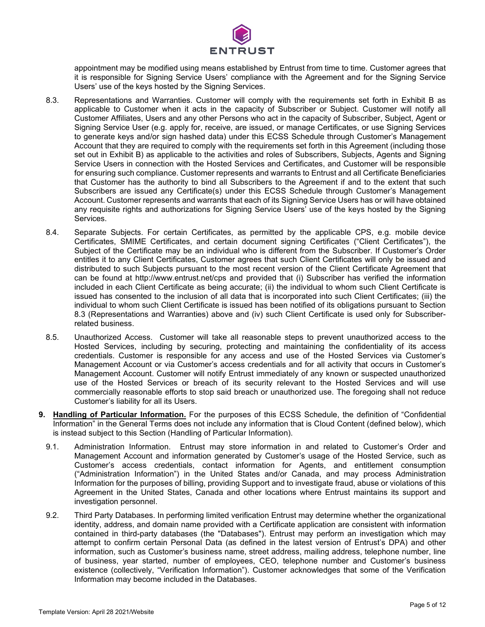

appointment may be modified using means established by Entrust from time to time. Customer agrees that it is responsible for Signing Service Users' compliance with the Agreement and for the Signing Service Users' use of the keys hosted by the Signing Services.

- 8.3. Representations and Warranties. Customer will comply with the requirements set forth in Exhibit B as applicable to Customer when it acts in the capacity of Subscriber or Subject. Customer will notify all Customer Affiliates, Users and any other Persons who act in the capacity of Subscriber, Subject, Agent or Signing Service User (e.g. apply for, receive, are issued, or manage Certificates, or use Signing Services to generate keys and/or sign hashed data) under this ECSS Schedule through Customer's Management Account that they are required to comply with the requirements set forth in this Agreement (including those set out in Exhibit B) as applicable to the activities and roles of Subscribers, Subjects, Agents and Signing Service Users in connection with the Hosted Services and Certificates, and Customer will be responsible for ensuring such compliance. Customer represents and warrants to Entrust and all Certificate Beneficiaries that Customer has the authority to bind all Subscribers to the Agreement if and to the extent that such Subscribers are issued any Certificate(s) under this ECSS Schedule through Customer's Management Account. Customer represents and warrants that each of its Signing Service Users has or will have obtained any requisite rights and authorizations for Signing Service Users' use of the keys hosted by the Signing Services.
- 8.4. Separate Subjects. For certain Certificates, as permitted by the applicable CPS, e.g. mobile device Certificates, SMIME Certificates, and certain document signing Certificates ("Client Certificates"), the Subject of the Certificate may be an individual who is different from the Subscriber. If Customer's Order entitles it to any Client Certificates, Customer agrees that such Client Certificates will only be issued and distributed to such Subjects pursuant to the most recent version of the Client Certificate Agreement that can be found at http://www.entrust.net/cps and provided that (i) Subscriber has verified the information included in each Client Certificate as being accurate; (ii) the individual to whom such Client Certificate is issued has consented to the inclusion of all data that is incorporated into such Client Certificates; (iii) the individual to whom such Client Certificate is issued has been notified of its obligations pursuant to Section 8.3 (Representations and Warranties) above and (iv) such Client Certificate is used only for Subscriberrelated business.
- 8.5. Unauthorized Access. Customer will take all reasonable steps to prevent unauthorized access to the Hosted Services, including by securing, protecting and maintaining the confidentiality of its access credentials. Customer is responsible for any access and use of the Hosted Services via Customer's Management Account or via Customer's access credentials and for all activity that occurs in Customer's Management Account. Customer will notify Entrust immediately of any known or suspected unauthorized use of the Hosted Services or breach of its security relevant to the Hosted Services and will use commercially reasonable efforts to stop said breach or unauthorized use. The foregoing shall not reduce Customer's liability for all its Users.
- **9. Handling of Particular Information.** For the purposes of this ECSS Schedule, the definition of "Confidential Information" in the General Terms does not include any information that is Cloud Content (defined below), which is instead subject to this Section (Handling of Particular Information).
	- 9.1. Administration Information. Entrust may store information in and related to Customer's Order and Management Account and information generated by Customer's usage of the Hosted Service, such as Customer's access credentials, contact information for Agents, and entitlement consumption ("Administration Information") in the United States and/or Canada, and may process Administration Information for the purposes of billing, providing Support and to investigate fraud, abuse or violations of this Agreement in the United States, Canada and other locations where Entrust maintains its support and investigation personnel.
	- 9.2. Third Party Databases. In performing limited verification Entrust may determine whether the organizational identity, address, and domain name provided with a Certificate application are consistent with information contained in third-party databases (the "Databases"). Entrust may perform an investigation which may attempt to confirm certain Personal Data (as defined in the latest version of Entrust's DPA) and other information, such as Customer's business name, street address, mailing address, telephone number, line of business, year started, number of employees, CEO, telephone number and Customer's business existence (collectively, "Verification Information"). Customer acknowledges that some of the Verification Information may become included in the Databases.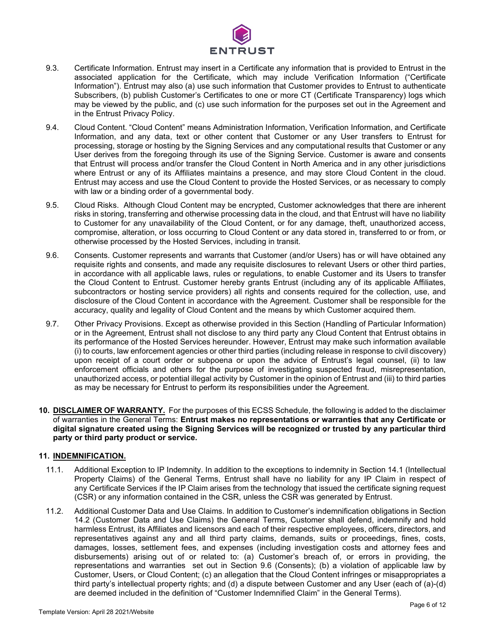

- 9.3. Certificate Information. Entrust may insert in a Certificate any information that is provided to Entrust in the associated application for the Certificate, which may include Verification Information ("Certificate Information"). Entrust may also (a) use such information that Customer provides to Entrust to authenticate Subscribers, (b) publish Customer's Certificates to one or more CT (Certificate Transparency) logs which may be viewed by the public, and (c) use such information for the purposes set out in the Agreement and in the Entrust Privacy Policy.
- 9.4. Cloud Content. "Cloud Content" means Administration Information, Verification Information, and Certificate Information, and any data, text or other content that Customer or any User transfers to Entrust for processing, storage or hosting by the Signing Services and any computational results that Customer or any User derives from the foregoing through its use of the Signing Service. Customer is aware and consents that Entrust will process and/or transfer the Cloud Content in North America and in any other jurisdictions where Entrust or any of its Affiliates maintains a presence, and may store Cloud Content in the cloud. Entrust may access and use the Cloud Content to provide the Hosted Services, or as necessary to comply with law or a binding order of a governmental body.
- 9.5. Cloud Risks. Although Cloud Content may be encrypted, Customer acknowledges that there are inherent risks in storing, transferring and otherwise processing data in the cloud, and that Entrust will have no liability to Customer for any unavailability of the Cloud Content, or for any damage, theft, unauthorized access, compromise, alteration, or loss occurring to Cloud Content or any data stored in, transferred to or from, or otherwise processed by the Hosted Services, including in transit.
- 9.6. Consents. Customer represents and warrants that Customer (and/or Users) has or will have obtained any requisite rights and consents, and made any requisite disclosures to relevant Users or other third parties, in accordance with all applicable laws, rules or regulations, to enable Customer and its Users to transfer the Cloud Content to Entrust. Customer hereby grants Entrust (including any of its applicable Affiliates, subcontractors or hosting service providers) all rights and consents required for the collection, use, and disclosure of the Cloud Content in accordance with the Agreement. Customer shall be responsible for the accuracy, quality and legality of Cloud Content and the means by which Customer acquired them.
- 9.7. Other Privacy Provisions. Except as otherwise provided in this Section (Handling of Particular Information) or in the Agreement, Entrust shall not disclose to any third party any Cloud Content that Entrust obtains in its performance of the Hosted Services hereunder. However, Entrust may make such information available (i) to courts, law enforcement agencies or other third parties (including release in response to civil discovery) upon receipt of a court order or subpoena or upon the advice of Entrust's legal counsel, (ii) to law enforcement officials and others for the purpose of investigating suspected fraud, misrepresentation, unauthorized access, or potential illegal activity by Customer in the opinion of Entrust and (iii) to third parties as may be necessary for Entrust to perform its responsibilities under the Agreement.
- **10. DISCLAIMER OF WARRANTY.** For the purposes of this ECSS Schedule, the following is added to the disclaimer of warranties in the General Terms: **Entrust makes no representations or warranties that any Certificate or digital signature created using the Signing Services will be recognized or trusted by any particular third party or third party product or service.**

#### **11. INDEMNIFICATION.**

- 11.1. Additional Exception to IP Indemnity. In addition to the exceptions to indemnity in Section 14.1 (Intellectual Property Claims) of the General Terms, Entrust shall have no liability for any IP Claim in respect of any Certificate Services if the IP Claim arises from the technology that issued the certificate signing request (CSR) or any information contained in the CSR, unless the CSR was generated by Entrust.
- 11.2. Additional Customer Data and Use Claims. In addition to Customer's indemnification obligations in Section 14.2 (Customer Data and Use Claims) the General Terms, Customer shall defend, indemnify and hold harmless Entrust, its Affiliates and licensors and each of their respective employees, officers, directors, and representatives against any and all third party claims, demands, suits or proceedings, fines, costs, damages, losses, settlement fees, and expenses (including investigation costs and attorney fees and disbursements) arising out of or related to: (a) Customer's breach of, or errors in providing, the representations and warranties set out in Section 9.6 (Consents); (b) a violation of applicable law by Customer, Users, or Cloud Content; (c) an allegation that the Cloud Content infringes or misappropriates a third party's intellectual property rights; and (d) a dispute between Customer and any User (each of (a)-(d) are deemed included in the definition of "Customer Indemnified Claim" in the General Terms).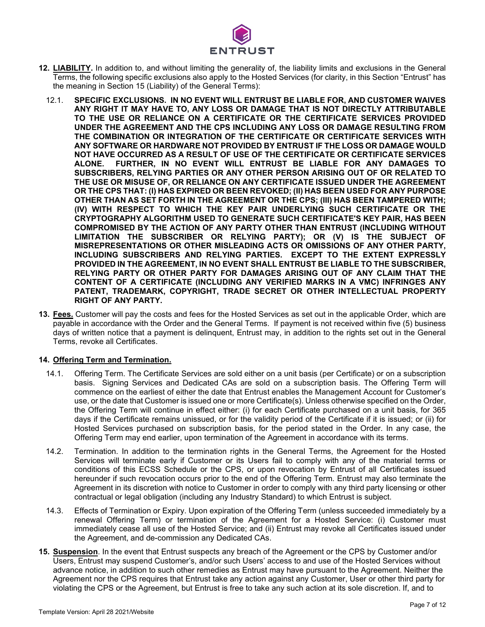

- **12. LIABILITY.** In addition to, and without limiting the generality of, the liability limits and exclusions in the General Terms, the following specific exclusions also apply to the Hosted Services (for clarity, in this Section "Entrust" has the meaning in Section 15 (Liability) of the General Terms):
	- 12.1. **SPECIFIC EXCLUSIONS. IN NO EVENT WILL ENTRUST BE LIABLE FOR, AND CUSTOMER WAIVES ANY RIGHT IT MAY HAVE TO, ANY LOSS OR DAMAGE THAT IS NOT DIRECTLY ATTRIBUTABLE TO THE USE OR RELIANCE ON A CERTIFICATE OR THE CERTIFICATE SERVICES PROVIDED UNDER THE AGREEMENT AND THE CPS INCLUDING ANY LOSS OR DAMAGE RESULTING FROM THE COMBINATION OR INTEGRATION OF THE CERTIFICATE OR CERTIFICATE SERVICES WITH ANY SOFTWARE OR HARDWARE NOT PROVIDED BY ENTRUST IF THE LOSS OR DAMAGE WOULD NOT HAVE OCCURRED AS A RESULT OF USE OF THE CERTIFICATE OR CERTIFICATE SERVICES ALONE. FURTHER, IN NO EVENT WILL ENTRUST BE LIABLE FOR ANY DAMAGES TO SUBSCRIBERS, RELYING PARTIES OR ANY OTHER PERSON ARISING OUT OF OR RELATED TO THE USE OR MISUSE OF, OR RELIANCE ON ANY CERTIFICATE ISSUED UNDER THE AGREEMENT OR THE CPS THAT: (I) HAS EXPIRED OR BEEN REVOKED; (II) HAS BEEN USED FOR ANY PURPOSE OTHER THAN AS SET FORTH IN THE AGREEMENT OR THE CPS; (III) HAS BEEN TAMPERED WITH; (IV) WITH RESPECT TO WHICH THE KEY PAIR UNDERLYING SUCH CERTIFICATE OR THE CRYPTOGRAPHY ALGORITHM USED TO GENERATE SUCH CERTIFICATE'S KEY PAIR, HAS BEEN COMPROMISED BY THE ACTION OF ANY PARTY OTHER THAN ENTRUST (INCLUDING WITHOUT LIMITATION THE SUBSCRIBER OR RELYING PARTY); OR (V) IS THE SUBJECT OF MISREPRESENTATIONS OR OTHER MISLEADING ACTS OR OMISSIONS OF ANY OTHER PARTY, INCLUDING SUBSCRIBERS AND RELYING PARTIES. EXCEPT TO THE EXTENT EXPRESSLY PROVIDED IN THE AGREEMENT, IN NO EVENT SHALL ENTRUST BE LIABLE TO THE SUBSCRIBER, RELYING PARTY OR OTHER PARTY FOR DAMAGES ARISING OUT OF ANY CLAIM THAT THE CONTENT OF A CERTIFICATE (INCLUDING ANY VERIFIED MARKS IN A VMC) INFRINGES ANY PATENT, TRADEMARK, COPYRIGHT, TRADE SECRET OR OTHER INTELLECTUAL PROPERTY RIGHT OF ANY PARTY.**
- **13. Fees.** Customer will pay the costs and fees for the Hosted Services as set out in the applicable Order, which are payable in accordance with the Order and the General Terms. If payment is not received within five (5) business days of written notice that a payment is delinquent, Entrust may, in addition to the rights set out in the General Terms, revoke all Certificates.

#### **14. Offering Term and Termination.**

- 14.1. Offering Term. The Certificate Services are sold either on a unit basis (per Certificate) or on a subscription basis. Signing Services and Dedicated CAs are sold on a subscription basis. The Offering Term will commence on the earliest of either the date that Entrust enables the Management Account for Customer's use, or the date that Customer is issued one or more Certificate(s). Unless otherwise specified on the Order, the Offering Term will continue in effect either: (i) for each Certificate purchased on a unit basis, for 365 days if the Certificate remains unissued, or for the validity period of the Certificate if it is issued; or (ii) for Hosted Services purchased on subscription basis, for the period stated in the Order. In any case, the Offering Term may end earlier, upon termination of the Agreement in accordance with its terms.
- 14.2. Termination. In addition to the termination rights in the General Terms, the Agreement for the Hosted Services will terminate early if Customer or its Users fail to comply with any of the material terms or conditions of this ECSS Schedule or the CPS, or upon revocation by Entrust of all Certificates issued hereunder if such revocation occurs prior to the end of the Offering Term. Entrust may also terminate the Agreement in its discretion with notice to Customer in order to comply with any third party licensing or other contractual or legal obligation (including any Industry Standard) to which Entrust is subject.
- 14.3. Effects of Termination or Expiry. Upon expiration of the Offering Term (unless succeeded immediately by a renewal Offering Term) or termination of the Agreement for a Hosted Service: (i) Customer must immediately cease all use of the Hosted Service; and (ii) Entrust may revoke all Certificates issued under the Agreement, and de-commission any Dedicated CAs.
- **15. Suspension**. In the event that Entrust suspects any breach of the Agreement or the CPS by Customer and/or Users, Entrust may suspend Customer's, and/or such Users' access to and use of the Hosted Services without advance notice, in addition to such other remedies as Entrust may have pursuant to the Agreement. Neither the Agreement nor the CPS requires that Entrust take any action against any Customer, User or other third party for violating the CPS or the Agreement, but Entrust is free to take any such action at its sole discretion. If, and to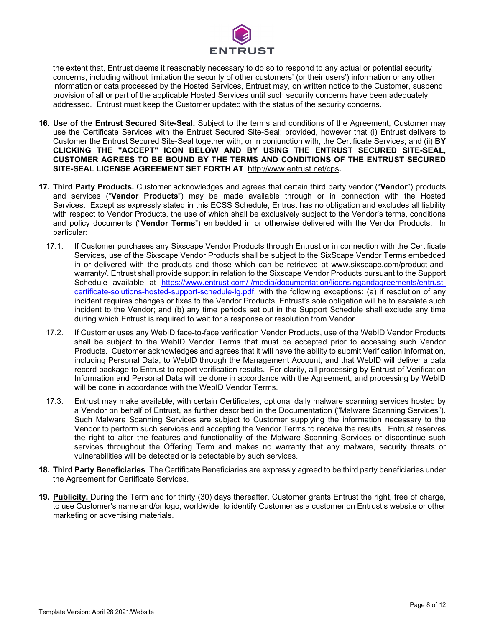

the extent that, Entrust deems it reasonably necessary to do so to respond to any actual or potential security concerns, including without limitation the security of other customers' (or their users') information or any other information or data processed by the Hosted Services, Entrust may, on written notice to the Customer, suspend provision of all or part of the applicable Hosted Services until such security concerns have been adequately addressed. Entrust must keep the Customer updated with the status of the security concerns.

- **16. Use of the Entrust Secured Site-Seal.** Subject to the terms and conditions of the Agreement, Customer may use the Certificate Services with the Entrust Secured Site-Seal; provided, however that (i) Entrust delivers to Customer the Entrust Secured Site-Seal together with, or in conjunction with, the Certificate Services; and (ii) **BY CLICKING THE "ACCEPT" ICON BELOW AND BY USING THE ENTRUST SECURED SITE-SEAL, CUSTOMER AGREES TO BE BOUND BY THE TERMS AND CONDITIONS OF THE ENTRUST SECURED SITE-SEAL LICENSE AGREEMENT SET FORTH AT** http://www.entrust.net/cps**.**
- **17. Third Party Products.** Customer acknowledges and agrees that certain third party vendor ("**Vendor**") products and services ("**Vendor Products**") may be made available through or in connection with the Hosted Services. Except as expressly stated in this ECSS Schedule, Entrust has no obligation and excludes all liability with respect to Vendor Products, the use of which shall be exclusively subject to the Vendor's terms, conditions and policy documents ("**Vendor Terms**") embedded in or otherwise delivered with the Vendor Products. In particular:
	- 17.1. If Customer purchases any Sixscape Vendor Products through Entrust or in connection with the Certificate Services, use of the Sixscape Vendor Products shall be subject to the SixScape Vendor Terms embedded in or delivered with the products and those which can be retrieved at [www.sixscape.com/product-and](http://www.sixscape.com/product-and-warranty/)[warranty/.](http://www.sixscape.com/product-and-warranty/) Entrust shall provide support in relation to the Sixscape Vendor Products pursuant to the Support Schedule available at [https://www.entrust.com/-/media/documentation/licensingandagreements/entrust](https://www.entrust.com/-/media/documentation/licensingandagreements/entrust-certificate-solutions-hosted-support-schedule-lg.pdf)[certificate-solutions-hosted-support-schedule-lg.pdf,](https://www.entrust.com/-/media/documentation/licensingandagreements/entrust-certificate-solutions-hosted-support-schedule-lg.pdf) with the following exceptions: (a) if resolution of any incident requires changes or fixes to the Vendor Products, Entrust's sole obligation will be to escalate such incident to the Vendor; and (b) any time periods set out in the Support Schedule shall exclude any time during which Entrust is required to wait for a response or resolution from Vendor.
	- 17.2. If Customer uses any WebID face-to-face verification Vendor Products, use of the WebID Vendor Products shall be subject to the WebID Vendor Terms that must be accepted prior to accessing such Vendor Products. Customer acknowledges and agrees that it will have the ability to submit Verification Information, including Personal Data, to WebID through the Management Account, and that WebID will deliver a data record package to Entrust to report verification results. For clarity, all processing by Entrust of Verification Information and Personal Data will be done in accordance with the Agreement, and processing by WebID will be done in accordance with the WebID Vendor Terms.
	- 17.3. Entrust may make available, with certain Certificates, optional daily malware scanning services hosted by a Vendor on behalf of Entrust, as further described in the Documentation ("Malware Scanning Services"). Such Malware Scanning Services are subject to Customer supplying the information necessary to the Vendor to perform such services and accepting the Vendor Terms to receive the results. Entrust reserves the right to alter the features and functionality of the Malware Scanning Services or discontinue such services throughout the Offering Term and makes no warranty that any malware, security threats or vulnerabilities will be detected or is detectable by such services.
- **18. Third Party Beneficiaries**. The Certificate Beneficiaries are expressly agreed to be third party beneficiaries under the Agreement for Certificate Services.
- **19. Publicity.** During the Term and for thirty (30) days thereafter, Customer grants Entrust the right, free of charge, to use Customer's name and/or logo, worldwide, to identify Customer as a customer on Entrust's website or other marketing or advertising materials.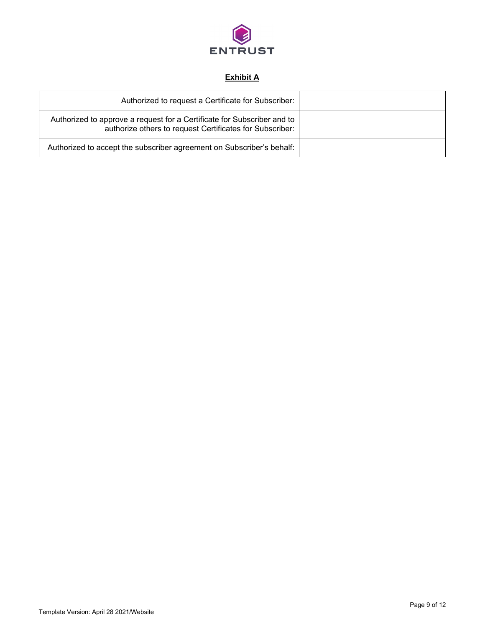

# **Exhibit A**

| Authorized to request a Certificate for Subscriber:                                                                                 |  |
|-------------------------------------------------------------------------------------------------------------------------------------|--|
| Authorized to approve a request for a Certificate for Subscriber and to<br>authorize others to request Certificates for Subscriber: |  |
| Authorized to accept the subscriber agreement on Subscriber's behalf:                                                               |  |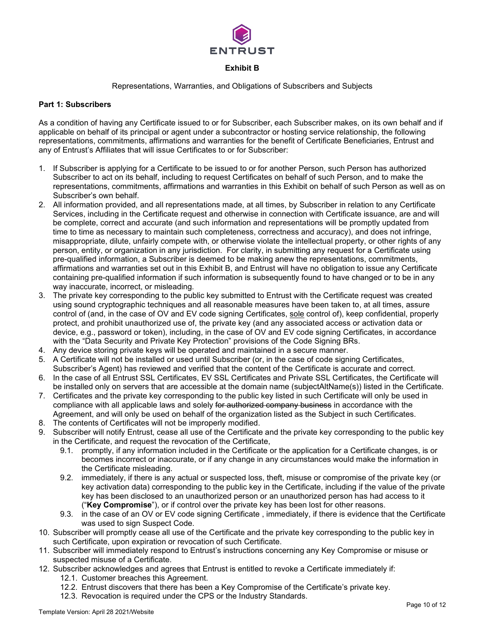

## **Exhibit B**

#### Representations, Warranties, and Obligations of Subscribers and Subjects

#### **Part 1: Subscribers**

As a condition of having any Certificate issued to or for Subscriber, each Subscriber makes, on its own behalf and if applicable on behalf of its principal or agent under a subcontractor or hosting service relationship, the following representations, commitments, affirmations and warranties for the benefit of Certificate Beneficiaries, Entrust and any of Entrust's Affiliates that will issue Certificates to or for Subscriber:

- 1. If Subscriber is applying for a Certificate to be issued to or for another Person, such Person has authorized Subscriber to act on its behalf, including to request Certificates on behalf of such Person, and to make the representations, commitments, affirmations and warranties in this Exhibit on behalf of such Person as well as on Subscriber's own behalf.
- 2. All information provided, and all representations made, at all times, by Subscriber in relation to any Certificate Services, including in the Certificate request and otherwise in connection with Certificate issuance, are and will be complete, correct and accurate (and such information and representations will be promptly updated from time to time as necessary to maintain such completeness, correctness and accuracy), and does not infringe, misappropriate, dilute, unfairly compete with, or otherwise violate the intellectual property, or other rights of any person, entity, or organization in any jurisdiction. For clarity, in submitting any request for a Certificate using pre-qualified information, a Subscriber is deemed to be making anew the representations, commitments, affirmations and warranties set out in this Exhibit B, and Entrust will have no obligation to issue any Certificate containing pre-qualified information if such information is subsequently found to have changed or to be in any way inaccurate, incorrect, or misleading.
- 3. The private key corresponding to the public key submitted to Entrust with the Certificate request was created using sound cryptographic techniques and all reasonable measures have been taken to, at all times, assure control of (and, in the case of OV and EV code signing Certificates, sole control of), keep confidential, properly protect, and prohibit unauthorized use of, the private key (and any associated access or activation data or device, e.g., password or token), including, in the case of OV and EV code signing Certificates, in accordance with the "Data Security and Private Key Protection" provisions of the Code Signing BRs.
- 4. Any device storing private keys will be operated and maintained in a secure manner.
- 5. A Certificate will not be installed or used until Subscriber (or, in the case of code signing Certificates, Subscriber's Agent) has reviewed and verified that the content of the Certificate is accurate and correct.
- 6. In the case of all Entrust SSL Certificates, EV SSL Certificates and Private SSL Certificates, the Certificate will be installed only on servers that are accessible at the domain name (subjectAltName(s)) listed in the Certificate.
- 7. Certificates and the private key corresponding to the public key listed in such Certificate will only be used in compliance with all applicable laws and solely for authorized company business in accordance with the Agreement, and will only be used on behalf of the organization listed as the Subject in such Certificates.
- 8. The contents of Certificates will not be improperly modified.
- 9. Subscriber will notify Entrust, cease all use of the Certificate and the private key corresponding to the public key in the Certificate, and request the revocation of the Certificate,
	- 9.1. promptly, if any information included in the Certificate or the application for a Certificate changes, is or becomes incorrect or inaccurate, or if any change in any circumstances would make the information in the Certificate misleading.
	- 9.2. immediately, if there is any actual or suspected loss, theft, misuse or compromise of the private key (or key activation data) corresponding to the public key in the Certificate, including if the value of the private key has been disclosed to an unauthorized person or an unauthorized person has had access to it ("**Key Compromise**"), or if control over the private key has been lost for other reasons.
	- 9.3. in the case of an OV or EV code signing Certificate , immediately, if there is evidence that the Certificate was used to sign Suspect Code.
- 10. Subscriber will promptly cease all use of the Certificate and the private key corresponding to the public key in such Certificate, upon expiration or revocation of such Certificate.
- 11. Subscriber will immediately respond to Entrust's instructions concerning any Key Compromise or misuse or suspected misuse of a Certificate.
- 12. Subscriber acknowledges and agrees that Entrust is entitled to revoke a Certificate immediately if:
	- 12.1. Customer breaches this Agreement.
	- 12.2. Entrust discovers that there has been a Key Compromise of the Certificate's private key.
	- 12.3. Revocation is required under the CPS or the Industry Standards.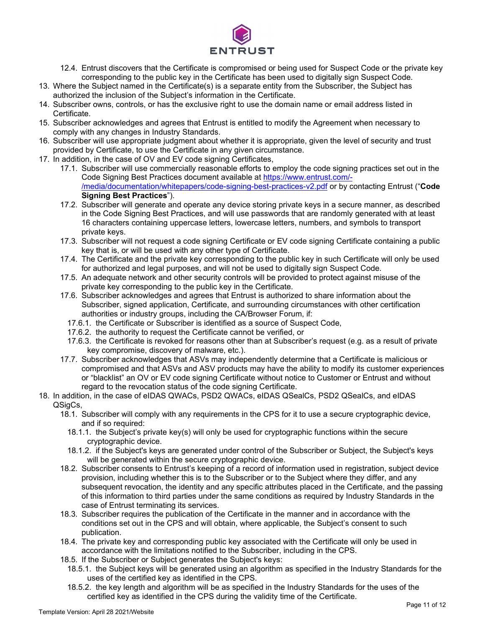

- 12.4. Entrust discovers that the Certificate is compromised or being used for Suspect Code or the private key corresponding to the public key in the Certificate has been used to digitally sign Suspect Code.
- 13. Where the Subject named in the Certificate(s) is a separate entity from the Subscriber, the Subject has authorized the inclusion of the Subject's information in the Certificate.
- 14. Subscriber owns, controls, or has the exclusive right to use the domain name or email address listed in Certificate.
- 15. Subscriber acknowledges and agrees that Entrust is entitled to modify the Agreement when necessary to comply with any changes in Industry Standards.
- 16. Subscriber will use appropriate judgment about whether it is appropriate, given the level of security and trust provided by Certificate, to use the Certificate in any given circumstance.
- 17. In addition, in the case of OV and EV code signing Certificates,
	- 17.1. Subscriber will use commercially reasonable efforts to employ the code signing practices set out in the Code Signing Best Practices document available at [https://www.entrust.com/-](https://www.entrust.com/-/media/documentation/whitepapers/code-signing-best-practices-v2.pdf) [/media/documentation/whitepapers/code-signing-best-practices-v2.pdf](https://www.entrust.com/-/media/documentation/whitepapers/code-signing-best-practices-v2.pdf) or by contacting Entrust ("**Code Signing Best Practices**").
	- 17.2. Subscriber will generate and operate any device storing private keys in a secure manner, as described in the Code Signing Best Practices, and will use passwords that are randomly generated with at least 16 characters containing uppercase letters, lowercase letters, numbers, and symbols to transport private keys.
	- 17.3. Subscriber will not request a code signing Certificate or EV code signing Certificate containing a public key that is, or will be used with any other type of Certificate.
	- 17.4. The Certificate and the private key corresponding to the public key in such Certificate will only be used for authorized and legal purposes, and will not be used to digitally sign Suspect Code.
	- 17.5. An adequate network and other security controls will be provided to protect against misuse of the private key corresponding to the public key in the Certificate.
	- 17.6. Subscriber acknowledges and agrees that Entrust is authorized to share information about the Subscriber, signed application, Certificate, and surrounding circumstances with other certification authorities or industry groups, including the CA/Browser Forum, if:
		- 17.6.1. the Certificate or Subscriber is identified as a source of Suspect Code,
		- 17.6.2. the authority to request the Certificate cannot be verified, or
		- 17.6.3. the Certificate is revoked for reasons other than at Subscriber's request (e.g. as a result of private key compromise, discovery of malware, etc.).
	- 17.7. Subscriber acknowledges that ASVs may independently determine that a Certificate is malicious or compromised and that ASVs and ASV products may have the ability to modify its customer experiences or "blacklist" an OV or EV code signing Certificate without notice to Customer or Entrust and without regard to the revocation status of the code signing Certificate.
- 18. In addition, in the case of eIDAS QWACs, PSD2 QWACs, eIDAS QSealCs, PSD2 QSealCs, and eIDAS QSigCs,
	- 18.1. Subscriber will comply with any requirements in the CPS for it to use a secure cryptographic device, and if so required:
		- 18.1.1. the Subject's private key(s) will only be used for cryptographic functions within the secure cryptographic device.
		- 18.1.2. if the Subject's keys are generated under control of the Subscriber or Subject, the Subject's keys will be generated within the secure cryptographic device.
	- 18.2. Subscriber consents to Entrust's keeping of a record of information used in registration, subject device provision, including whether this is to the Subscriber or to the Subject where they differ, and any subsequent revocation, the identity and any specific attributes placed in the Certificate, and the passing of this information to third parties under the same conditions as required by Industry Standards in the case of Entrust terminating its services.
	- 18.3. Subscriber requires the publication of the Certificate in the manner and in accordance with the conditions set out in the CPS and will obtain, where applicable, the Subject's consent to such publication.
	- 18.4. The private key and corresponding public key associated with the Certificate will only be used in accordance with the limitations notified to the Subscriber, including in the CPS.
	- 18.5. If the Subscriber or Subject generates the Subject's keys:
		- 18.5.1. the Subject keys will be generated using an algorithm as specified in the Industry Standards for the uses of the certified key as identified in the CPS.
		- 18.5.2. the key length and algorithm will be as specified in the Industry Standards for the uses of the certified key as identified in the CPS during the validity time of the Certificate.